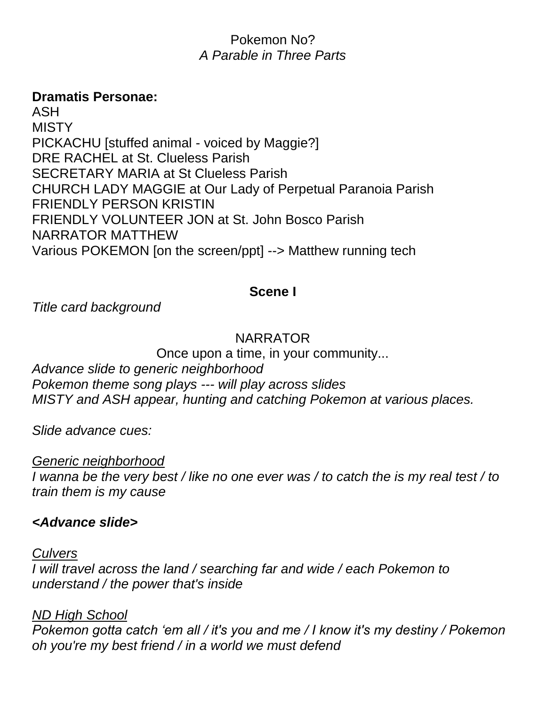# Pokemon No? *A Parable in Three Parts*

#### **Dramatis Personae:**

ASH MISTY PICKACHU [stuffed animal - voiced by Maggie?] DRE RACHEL at St. Clueless Parish SECRETARY MARIA at St Clueless Parish CHURCH LADY MAGGIE at Our Lady of Perpetual Paranoia Parish FRIENDLY PERSON KRISTIN FRIENDLY VOLUNTEER JON at St. John Bosco Parish NARRATOR MATTHEW Various POKEMON [on the screen/ppt] --> Matthew running tech

#### **Scene I**

*Title card background*

#### NARRATOR

Once upon a time, in your community... *Advance slide to generic neighborhood Pokemon theme song plays --- will play across slides MISTY and ASH appear, hunting and catching Pokemon at various places.*

*Slide advance cues:*

#### *Generic neighborhood*

*I wanna be the very best / like no one ever was / to catch the is my real test / to train them is my cause*

#### *<Advance slide>*

#### *Culvers*

*I will travel across the land / searching far and wide / each Pokemon to understand / the power that's inside*

#### *ND High School*

*Pokemon gotta catch 'em all / it's you and me / I know it's my destiny / Pokemon oh you're my best friend / in a world we must defend*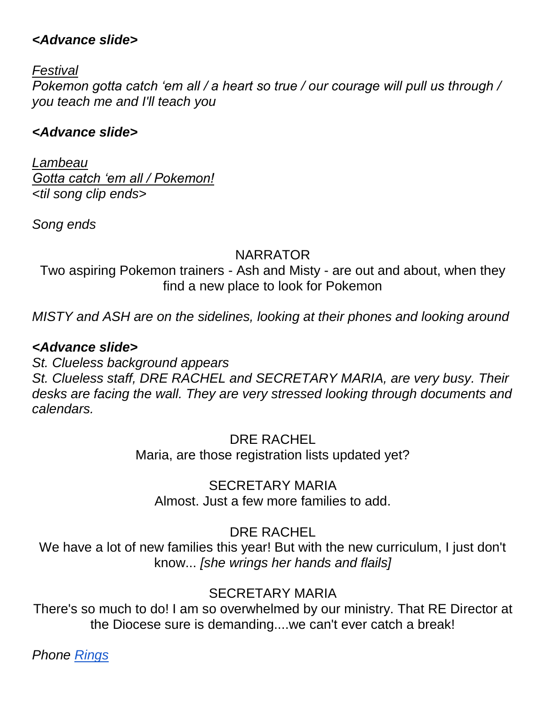### *<Advance slide>*

*Festival* 

*Pokemon gotta catch 'em all / a heart so true / our courage will pull us through / you teach me and I'll teach you* 

# *<Advance slide>*

*Lambeau Gotta catch 'em all / Pokemon! <til song clip ends>*

*Song ends*

# NARRATOR

Two aspiring Pokemon trainers - Ash and Misty - are out and about, when they find a new place to look for Pokemon

*MISTY and ASH are on the sidelines, looking at their phones and looking around*

# *<Advance slide>*

*St. Clueless background appears St. Clueless staff, DRE RACHEL and SECRETARY MARIA, are very busy. Their desks are facing the wall. They are very stressed looking through documents and calendars.*

> DRE RACHEL Maria, are those registration lists updated yet?

SECRETARY MARIA Almost. Just a few more families to add.

DRE RACHEL

We have a lot of new families this year! But with the new curriculum, I just don't know... *[she wrings her hands and flails]*

# SECRETARY MARIA

There's so much to do! I am so overwhelmed by our ministry. That RE Director at the Diocese sure is demanding....we can't ever catch a break!

*Phone [Rings](http://soundbible.com/315-Home-Phone-Ringing.html)*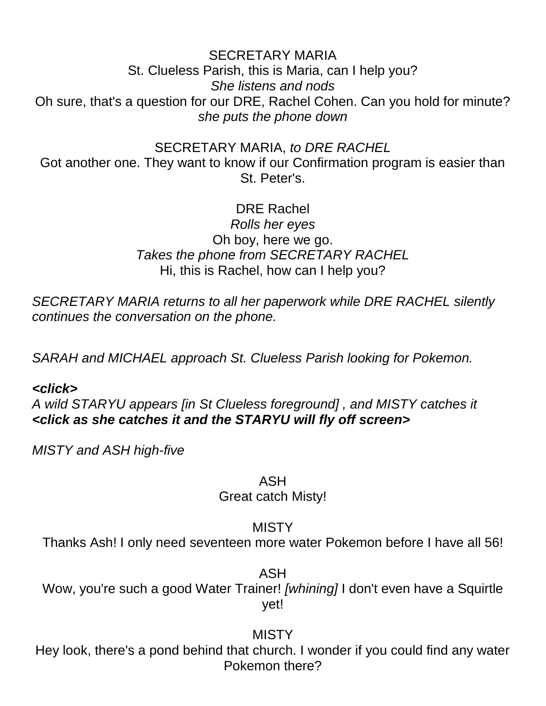SECRETARY MARIA St. Clueless Parish, this is Maria, can I help you? *She listens and nods* Oh sure, that's a question for our DRE, Rachel Cohen. Can you hold for minute? *she puts the phone down*

SECRETARY MARIA, *to DRE RACHEL*

Got another one. They want to know if our Confirmation program is easier than St. Peter's.

> DRE Rachel *Rolls her eyes* Oh boy, here we go. *Takes the phone from SECRETARY RACHEL* Hi, this is Rachel, how can I help you?

*SECRETARY MARIA returns to all her paperwork while DRE RACHEL silently continues the conversation on the phone.* 

*SARAH and MICHAEL approach St. Clueless Parish looking for Pokemon.* 

#### *<click>*

*A wild STARYU appears [in St Clueless foreground] , and MISTY catches it <click as she catches it and the STARYU will fly off screen>*

*MISTY and ASH high-five*

ASH

Great catch Misty!

MISTY

Thanks Ash! I only need seventeen more water Pokemon before I have all 56!

ASH

Wow, you're such a good Water Trainer! *[whining]* I don't even have a Squirtle yet!

#### MISTY

Hey look, there's a pond behind that church. I wonder if you could find any water Pokemon there?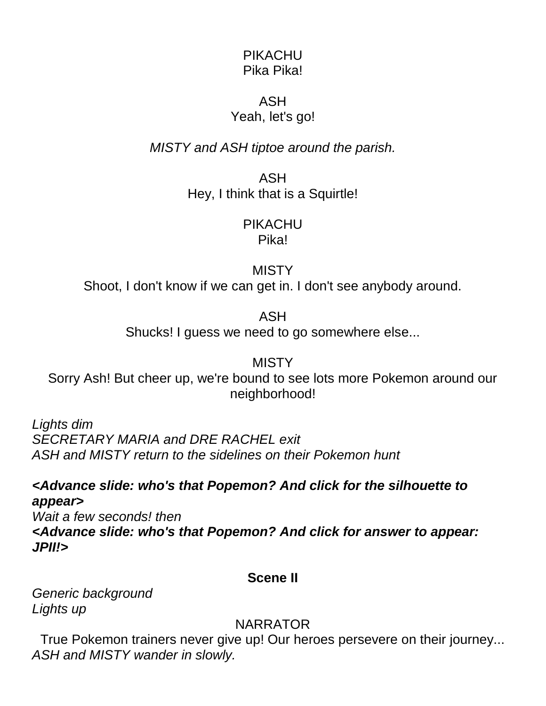#### PIKACHU Pika Pika!

### ASH Yeah, let's go!

*MISTY and ASH tiptoe around the parish.* 

ASH Hey, I think that is a Squirtle!

# PIKACHU

Pika!

**MISTY** 

Shoot, I don't know if we can get in. I don't see anybody around.

ASH

Shucks! I guess we need to go somewhere else...

**MISTY** Sorry Ash! But cheer up, we're bound to see lots more Pokemon around our neighborhood!

*Lights dim SECRETARY MARIA and DRE RACHEL exit ASH and MISTY return to the sidelines on their Pokemon hunt*

*<Advance slide: who's that Popemon? And click for the silhouette to appear>*

*Wait a few seconds! then <Advance slide: who's that Popemon? And click for answer to appear: JPII!>*

**Scene II**

*Generic background Lights up*

NARRATOR

True Pokemon trainers never give up! Our heroes persevere on their journey... *ASH and MISTY wander in slowly.*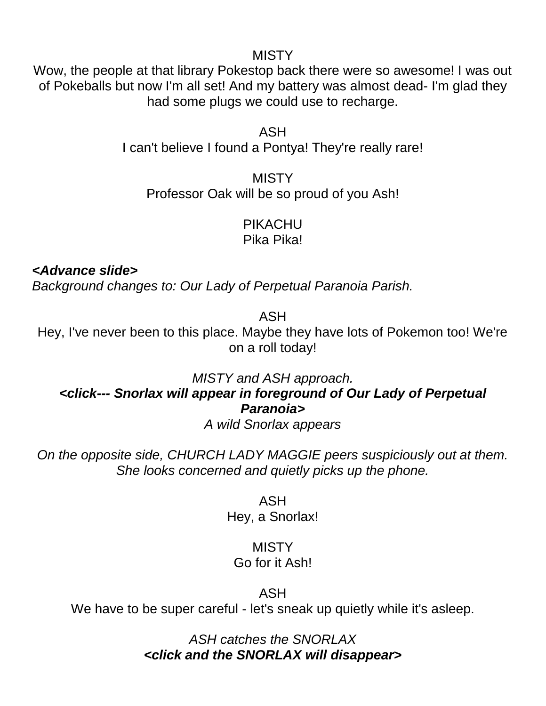#### MISTY

Wow, the people at that library Pokestop back there were so awesome! I was out of Pokeballs but now I'm all set! And my battery was almost dead- I'm glad they had some plugs we could use to recharge.

> ASH I can't believe I found a Pontya! They're really rare!

**MISTY** Professor Oak will be so proud of you Ash!

> PIKACHU Pika Pika!

*<Advance slide>*

*Background changes to: Our Lady of Perpetual Paranoia Parish.*

ASH

Hey, I've never been to this place. Maybe they have lots of Pokemon too! We're on a roll today!

*MISTY and ASH approach. <click--- Snorlax will appear in foreground of Our Lady of Perpetual Paranoia>*

*A wild Snorlax appears*

*On the opposite side, CHURCH LADY MAGGIE peers suspiciously out at them. She looks concerned and quietly picks up the phone.* 

> ASH Hey, a Snorlax!

#### **MISTY** Go for it Ash!

# ASH

We have to be super careful - let's sneak up quietly while it's asleep.

*ASH catches the SNORLAX <click and the SNORLAX will disappear>*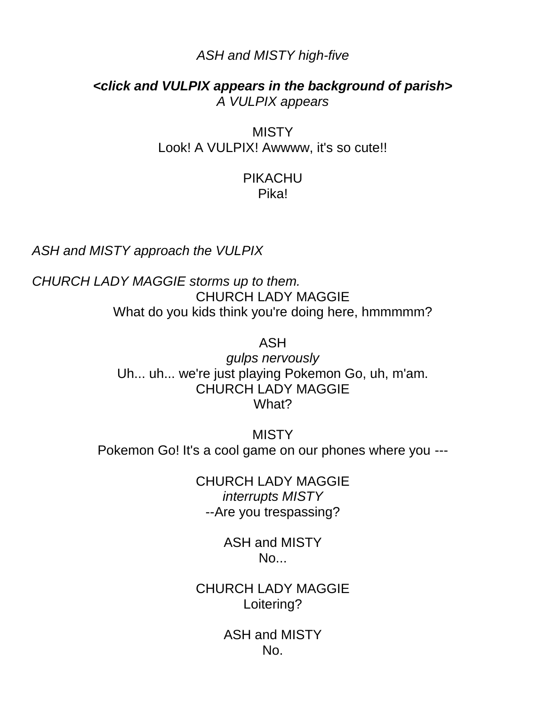#### *ASH and MISTY high-five*

*<click and VULPIX appears in the background of parish> A VULPIX appears*

> MISTY Look! A VULPIX! Awwww, it's so cute!!

#### PIKACHU Pika!

*ASH and MISTY approach the VULPIX* 

*CHURCH LADY MAGGIE storms up to them.* CHURCH LADY MAGGIE What do you kids think you're doing here, hmmmmm?

ASH

*gulps nervously* Uh... uh... we're just playing Pokemon Go, uh, m'am. CHURCH LADY MAGGIE What?

MISTY Pokemon Go! It's a cool game on our phones where you ---

> CHURCH LADY MAGGIE *interrupts MISTY* --Are you trespassing?

> > ASH and MISTY No...

CHURCH LADY MAGGIE Loitering?

> ASH and MISTY No.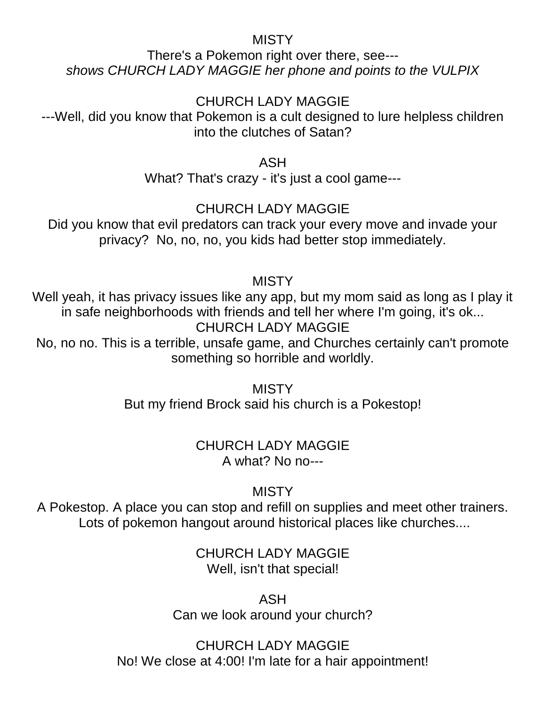#### MISTY

There's a Pokemon right over there, see-- *shows CHURCH LADY MAGGIE her phone and points to the VULPIX* 

# CHURCH LADY MAGGIE

---Well, did you know that Pokemon is a cult designed to lure helpless children into the clutches of Satan?

ASH

What? That's crazy - it's just a cool game---

# CHURCH LADY MAGGIE

Did you know that evil predators can track your every move and invade your privacy? No, no, no, you kids had better stop immediately.

# **MISTY**

Well yeah, it has privacy issues like any app, but my mom said as long as I play it in safe neighborhoods with friends and tell her where I'm going, it's ok... CHURCH LADY MAGGIE

No, no no. This is a terrible, unsafe game, and Churches certainly can't promote something so horrible and worldly.

> **MISTY** But my friend Brock said his church is a Pokestop!

# CHURCH LADY MAGGIE A what? No no---

# **MISTY**

A Pokestop. A place you can stop and refill on supplies and meet other trainers. Lots of pokemon hangout around historical places like churches....

> CHURCH LADY MAGGIE Well, isn't that special!

ASH Can we look around your church?

CHURCH LADY MAGGIE No! We close at 4:00! I'm late for a hair appointment!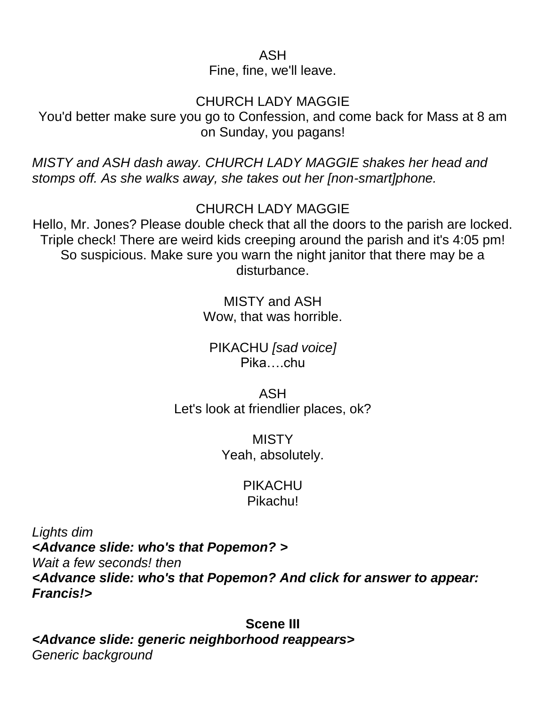ASH

Fine, fine, we'll leave.

# CHURCH LADY MAGGIE

You'd better make sure you go to Confession, and come back for Mass at 8 am on Sunday, you pagans!

*MISTY and ASH dash away. CHURCH LADY MAGGIE shakes her head and stomps off. As she walks away, she takes out her [non-smart]phone.*

CHURCH LADY MAGGIE

Hello, Mr. Jones? Please double check that all the doors to the parish are locked. Triple check! There are weird kids creeping around the parish and it's 4:05 pm! So suspicious. Make sure you warn the night janitor that there may be a disturbance.

> MISTY and ASH Wow, that was horrible.

PIKACHU *[sad voice]* Pika….chu

ASH Let's look at friendlier places, ok?

> **MISTY** Yeah, absolutely.

# PIKACHU Pikachu!

*Lights dim <Advance slide: who's that Popemon? > Wait a few seconds! then <Advance slide: who's that Popemon? And click for answer to appear: Francis!>*

**Scene III** *<Advance slide: generic neighborhood reappears> Generic background*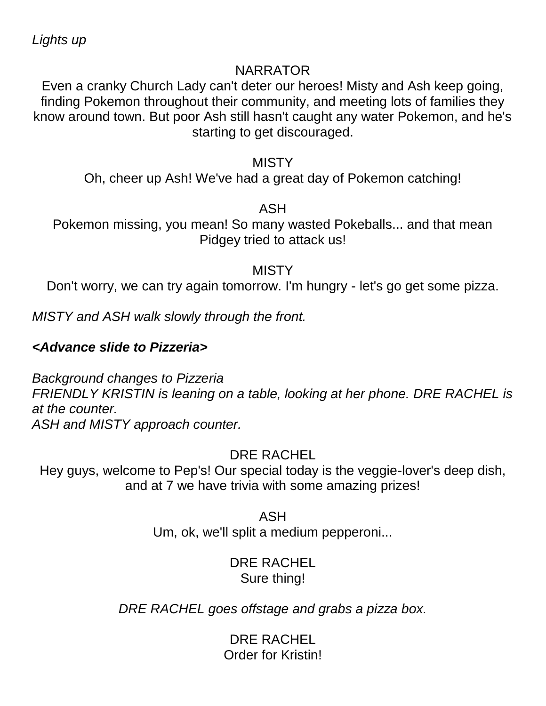*Lights up*

#### NARRATOR

Even a cranky Church Lady can't deter our heroes! Misty and Ash keep going, finding Pokemon throughout their community, and meeting lots of families they know around town. But poor Ash still hasn't caught any water Pokemon, and he's starting to get discouraged.

#### MISTY

Oh, cheer up Ash! We've had a great day of Pokemon catching!

ASH

Pokemon missing, you mean! So many wasted Pokeballs... and that mean Pidgey tried to attack us!

# **MISTY**

Don't worry, we can try again tomorrow. I'm hungry - let's go get some pizza.

*MISTY and ASH walk slowly through the front.* 

# *<Advance slide to Pizzeria>*

*Background changes to Pizzeria FRIENDLY KRISTIN is leaning on a table, looking at her phone. DRE RACHEL is at the counter. ASH and MISTY approach counter.*

DRE RACHEL

Hey guys, welcome to Pep's! Our special today is the veggie-lover's deep dish, and at 7 we have trivia with some amazing prizes!

> ASH Um, ok, we'll split a medium pepperoni...

# DRE RACHEL Sure thing!

*DRE RACHEL goes offstage and grabs a pizza box.*

DRE RACHEL Order for Kristin!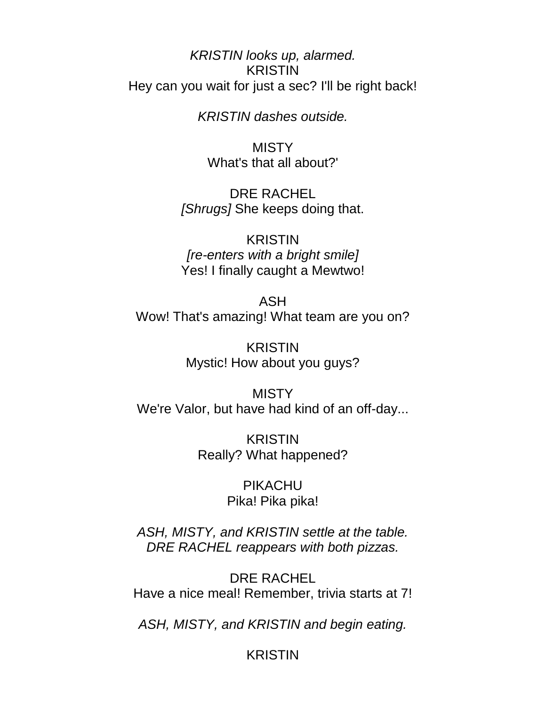*KRISTIN looks up, alarmed.*  KRISTIN Hey can you wait for just a sec? I'll be right back!

*KRISTIN dashes outside.*

MISTY What's that all about?'

DRE RACHEL *[Shrugs]* She keeps doing that.

KRISTIN *[re-enters with a bright smile]* Yes! I finally caught a Mewtwo!

ASH Wow! That's amazing! What team are you on?

> KRISTIN Mystic! How about you guys?

MISTY We're Valor, but have had kind of an off-day...

> KRISTIN Really? What happened?

> > PIKACHU Pika! Pika pika!

*ASH, MISTY, and KRISTIN settle at the table. DRE RACHEL reappears with both pizzas.* 

DRE RACHEL Have a nice meal! Remember, trivia starts at 7!

*ASH, MISTY, and KRISTIN and begin eating.* 

KRISTIN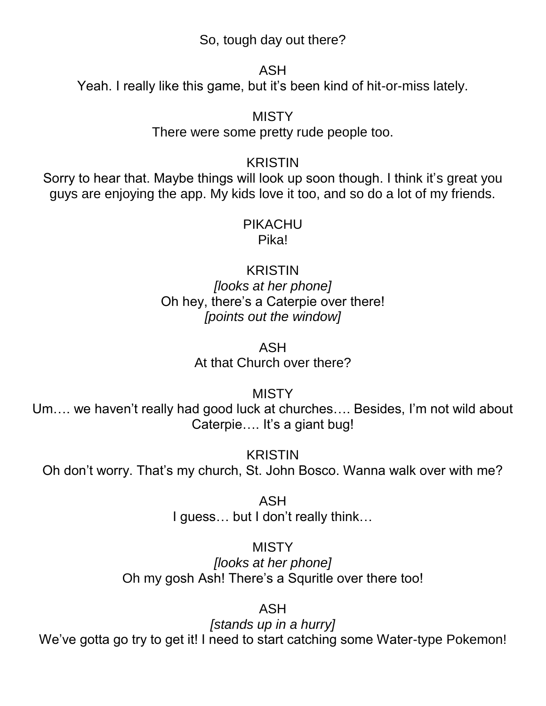So, tough day out there?

ASH

Yeah. I really like this game, but it's been kind of hit-or-miss lately.

MISTY There were some pretty rude people too.

# KRISTIN

Sorry to hear that. Maybe things will look up soon though. I think it's great you guys are enjoying the app. My kids love it too, and so do a lot of my friends.

#### PIKACHU Pika!

KRISTIN *[looks at her phone]* Oh hey, there's a Caterpie over there! *[points out the window]*

> ASH At that Church over there?

> > MISTY

Um…. we haven't really had good luck at churches…. Besides, I'm not wild about Caterpie…. It's a giant bug!

KRISTIN Oh don't worry. That's my church, St. John Bosco. Wanna walk over with me?

> ASH I guess… but I don't really think…

# **MISTY**

*[looks at her phone]* Oh my gosh Ash! There's a Squritle over there too!

ASH

*[stands up in a hurry]* We've gotta go try to get it! I need to start catching some Water-type Pokemon!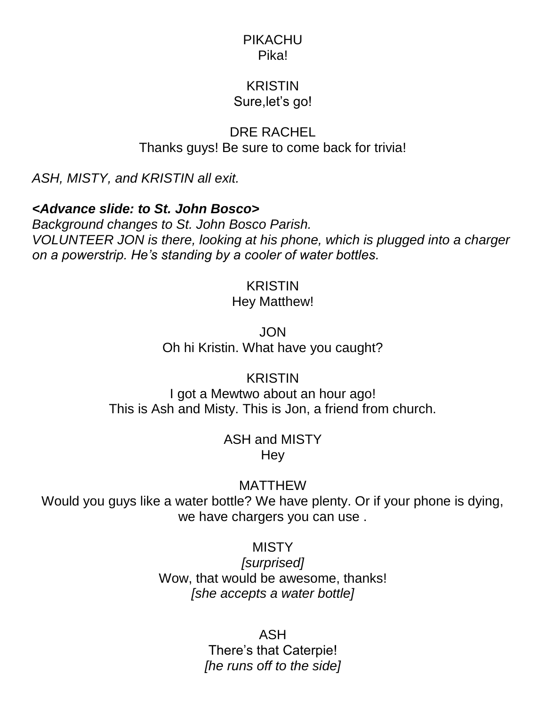#### PIKACHU Pika!

# KRISTIN Sure,let's go!

DRE RACHEL Thanks guys! Be sure to come back for trivia!

*ASH, MISTY, and KRISTIN all exit.*

# *<Advance slide: to St. John Bosco>*

*Background changes to St. John Bosco Parish. VOLUNTEER JON is there, looking at his phone, which is plugged into a charger on a powerstrip. He's standing by a cooler of water bottles.* 

# KRISTIN

### Hey Matthew!

JON Oh hi Kristin. What have you caught?

**KRISTIN** I got a Mewtwo about an hour ago! This is Ash and Misty. This is Jon, a friend from church.

> ASH and MISTY Hey

> > MATTHEW

Would you guys like a water bottle? We have plenty. Or if your phone is dying, we have chargers you can use .

# **MISTY**

*[surprised]* Wow, that would be awesome, thanks! *[she accepts a water bottle]*

# ASH

There's that Caterpie! *[he runs off to the side]*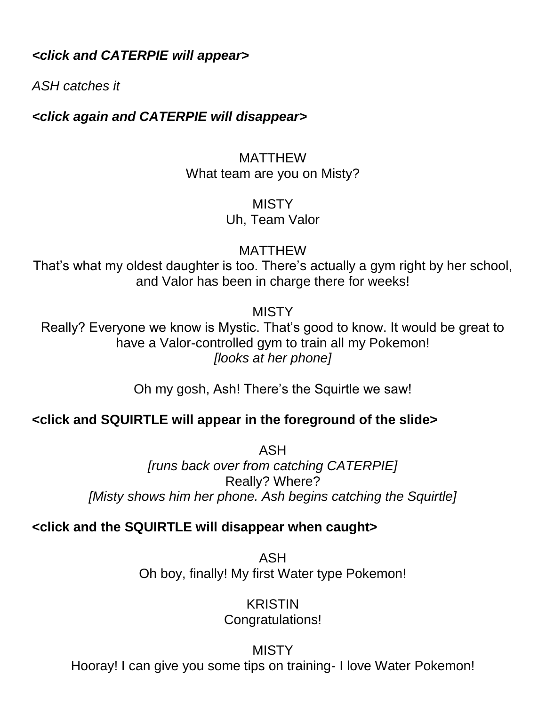*<click and CATERPIE will appear>*

*ASH catches it*

*<click again and CATERPIE will disappear>*

### MATTHEW What team are you on Misty?

MISTY Uh, Team Valor

MATTHEW

That's what my oldest daughter is too. There's actually a gym right by her school, and Valor has been in charge there for weeks!

MISTY

Really? Everyone we know is Mystic. That's good to know. It would be great to have a Valor-controlled gym to train all my Pokemon! *[looks at her phone]*

Oh my gosh, Ash! There's the Squirtle we saw!

# **<click and SQUIRTLE will appear in the foreground of the slide>**

ASH *[runs back over from catching CATERPIE]* Really? Where? *[Misty shows him her phone. Ash begins catching the Squirtle]*

# **<click and the SQUIRTLE will disappear when caught>**

ASH Oh boy, finally! My first Water type Pokemon!

> KRISTIN Congratulations!

#### MISTY

Hooray! I can give you some tips on training- I love Water Pokemon!